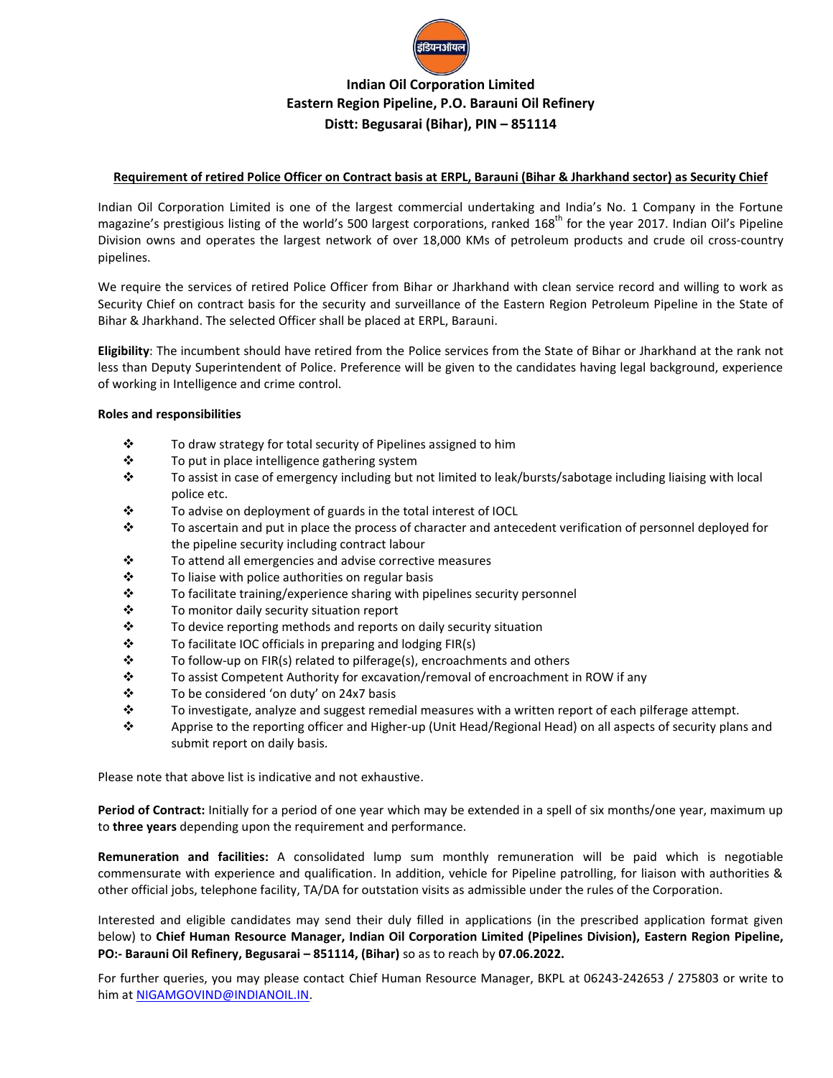

# **Indian Oil Corporation Limited Eastern Region Pipeline, P.O. Barauni Oil Refinery Distt: Begusarai (Bihar), PIN – 851114**

#### **Requirement of retired Police Officer on Contract basis at ERPL, Barauni (Bihar & Jharkhand sector) as Security Chief**

Indian Oil Corporation Limited is one of the largest commercial undertaking and India's No. 1 Company in the Fortune magazine's prestigious listing of the world's 500 largest corporations, ranked 168<sup>th</sup> for the year 2017. Indian Oil's Pipeline Division owns and operates the largest network of over 18,000 KMs of petroleum products and crude oil cross-country pipelines.

We require the services of retired Police Officer from Bihar or Jharkhand with clean service record and willing to work as Security Chief on contract basis for the security and surveillance of the Eastern Region Petroleum Pipeline in the State of Bihar & Jharkhand. The selected Officer shall be placed at ERPL, Barauni.

**Eligibility**: The incumbent should have retired from the Police services from the State of Bihar or Jharkhand at the rank not less than Deputy Superintendent of Police. Preference will be given to the candidates having legal background, experience of working in Intelligence and crime control.

#### **Roles and responsibilities**

- $\mathbf{\hat{P}}$  To draw strategy for total security of Pipelines assigned to him
- ❖ To put in place intelligence gathering system
- To assist in case of emergency including but not limited to leak/bursts/sabotage including liaising with local police etc.
- $\mathbf{\hat{P}}$  To advise on deployment of guards in the total interest of IOCL
- $\div$  To ascertain and put in place the process of character and antecedent verification of personnel deployed for the pipeline security including contract labour
- $\mathbf{\hat{P}}$  To attend all emergencies and advise corrective measures
- $\mathbf{\hat{P}}$  To liaise with police authorities on regular basis
- $\mathbf{\hat{P}}$  To facilitate training/experience sharing with pipelines security personnel
- **❖** To monitor daily security situation report
- $\mathbf{\hat{P}}$  To device reporting methods and reports on daily security situation
- $\div$  To facilitate IOC officials in preparing and lodging FIR(s)
- $\mathbf{\hat{P}}$  To follow-up on FIR(s) related to pilferage(s), encroachments and others
- To assist Competent Authority for excavation/removal of encroachment in ROW if any
- $\div$  To be considered 'on duty' on 24x7 basis
- $\div$  To investigate, analyze and suggest remedial measures with a written report of each pilferage attempt.
- Apprise to the reporting officer and Higher-up (Unit Head/Regional Head) on all aspects of security plans and submit report on daily basis.

Please note that above list is indicative and not exhaustive.

**Period of Contract:** Initially for a period of one year which may be extended in a spell of six months/one year, maximum up to **three years** depending upon the requirement and performance.

**Remuneration and facilities:** A consolidated lump sum monthly remuneration will be paid which is negotiable commensurate with experience and qualification. In addition, vehicle for Pipeline patrolling, for liaison with authorities & other official jobs, telephone facility, TA/DA for outstation visits as admissible under the rules of the Corporation.

Interested and eligible candidates may send their duly filled in applications (in the prescribed application format given below) to **Chief Human Resource Manager, Indian Oil Corporation Limited (Pipelines Division), Eastern Region Pipeline, PO:- Barauni Oil Refinery, Begusarai – 851114, (Bihar)** so as to reach by **07.06.2022.**

For further queries, you may please contact Chief Human Resource Manager, BKPL at 06243-242653 / 275803 or write to him at [NIGAMGOVIND@INDIANOIL.IN.](mailto:NIGAMGOVIND@INDIANOIL.IN)